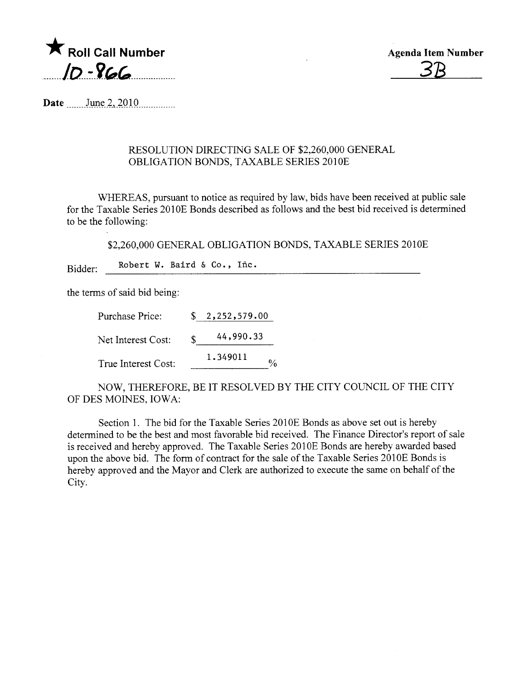

Agenda Item Number 3B

Date ....... Jn-t\_\_~-, .2QJ. Q. ........... ...

## RESOLUTION DIRECTING SALE OF \$2,260,000 GENERAL OBLIGATION BONDS, TAXABLE SERIES 2010E

WHEREAS, pursuant to notice as required by law, bids have been received at public sale for the Taxable Series 2010E Bonds described as follows and the best bid received is determined to be the following:

\$2,260,000 GENERAL OBLIGATION BONDS, TAXABLE SERIES 2010E

Bidder: Robert W. Baird & Co., Iñc.

the terms of said bid being:

Purchase Price: \$ 2,252,579.00 Net Interest Cost: 44,990.33 True Interest Cost: 1. 349011  $\frac{0}{6}$ 

NOW, THEREFORE, BE IT RESOLVED BY THE CITY COUNCIL OF THE CITY OF DES MOINES, IOWA:

Section 1. The bid for the Taxable Series 2010E Bonds as above set out is hereby determined to be the best and most favorable bid received. The Finance Director's report of sale is received and hereby approved. The Taxable Series 2010E Bonds are hereby awarded based upon the above bid. The form of contract for the sale of the Taxable Series 2010E Bonds is hereby approved and the Mayor and Clerk are authorized to execute the same on behalf of the City.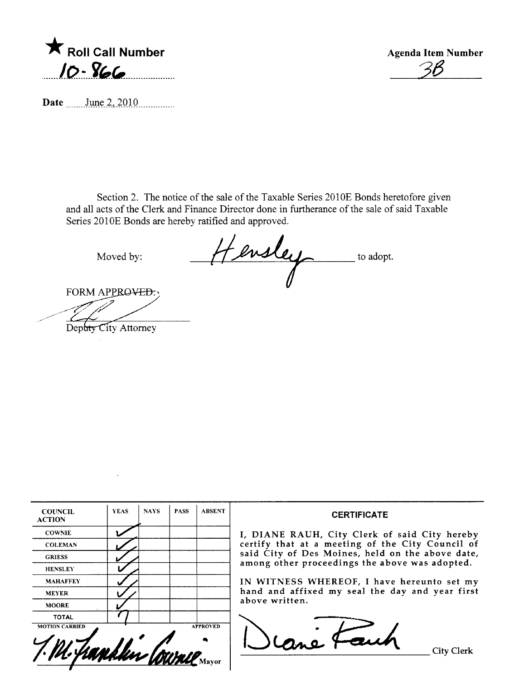

**Agenda Item Number** 

Date June 2, 2010

Section 2. The notice of the sale of the Taxable Series 2010E Bonds heretofore given and all acts of the Clerk and Finance Director done in furtherance of the sale of said Taxable Series 2010E Bonds are hereby ratified and approved.

Moved by:

Hensley to adopt.

FORM APPROVED:

Depaty City Attorney

| <b>COUNCIL</b><br><b>ACTION</b> | <b>YEAS</b> | <b>NAYS</b> | <b>PASS</b> | <b>ABSENT</b>   | <b>CERTIFICATE</b>                                                                                 |
|---------------------------------|-------------|-------------|-------------|-----------------|----------------------------------------------------------------------------------------------------|
| <b>COWNIE</b>                   |             |             |             |                 | I, DIANE RAUH, City Clerk of said City hereby                                                      |
| <b>COLEMAN</b>                  |             |             |             |                 | certify that at a meeting of the City Council of                                                   |
| <b>GRIESS</b>                   |             |             |             |                 | said City of Des Moines, held on the above date,<br>among other proceedings the above was adopted. |
| <b>HENSLEY</b>                  |             |             |             |                 |                                                                                                    |
| <b>MAHAFFEY</b>                 |             |             |             |                 | IN WITNESS WHEREOF, I have hereunto set my                                                         |
| <b>MEYER</b>                    |             |             |             |                 | hand and affixed my seal the day and year first                                                    |
| <b>MOORE</b>                    |             |             |             |                 | above written.                                                                                     |
| <b>TOTAL</b>                    |             |             |             |                 |                                                                                                    |
| <b>MOTION CARRIED</b>           |             |             |             | <b>APPROVED</b> | City Clerk                                                                                         |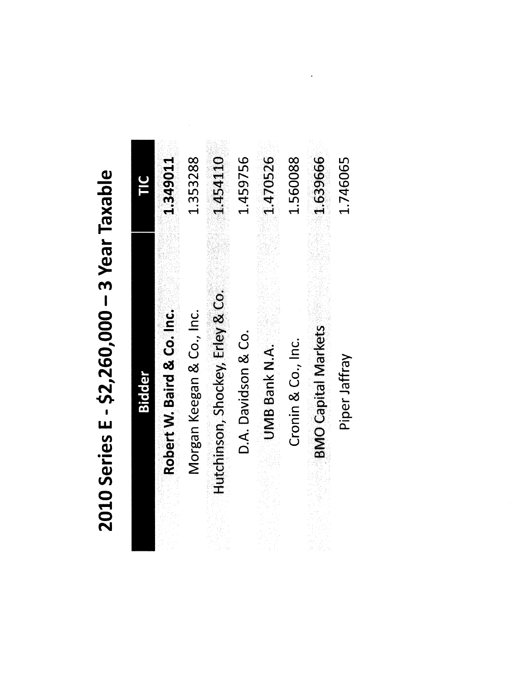| DIUCACI            |
|--------------------|
| -3 Year            |
|                    |
|                    |
|                    |
| י<br>כל            |
|                    |
| 57 760 000<br>ソーパー |
| .<br>ப             |
| 010 Series         |
|                    |
|                    |

|        | 1.349011                   | 1.353288                  | 1.454110                         | 1.459756            | 1.470526             | 1.560088           | 1,639666                   | 1.746065      |
|--------|----------------------------|---------------------------|----------------------------------|---------------------|----------------------|--------------------|----------------------------|---------------|
| Bidder | Robert W. Baird & Co. Inc. | Morgan Keegan & Co., Inc. | Hutchinson, Shockey, Erley & Co. | D.A. Davidson & Co. | <b>UMB Bank N.A.</b> | Cronin & Co., Inc. | <b>BMO Capital Markets</b> | Piper Jaffray |

 $\label{eq:2.1} \frac{1}{2} \int_{\mathbb{R}^3} \left| \frac{d\mathbf{x}}{d\mathbf{x}} \right| \, d\mathbf{x} \, d\mathbf{x} \, d\mathbf{x} \, d\mathbf{x} \, d\mathbf{x} \, d\mathbf{x} \, d\mathbf{x} \, d\mathbf{x} \, d\mathbf{x} \, d\mathbf{x} \, d\mathbf{x} \, d\mathbf{x} \, d\mathbf{x} \, d\mathbf{x} \, d\mathbf{x} \, d\mathbf{x} \, d\mathbf{x} \, d\mathbf{x} \, d\mathbf{x} \, d\mathbf{x} \, d\mathbf{x} \,$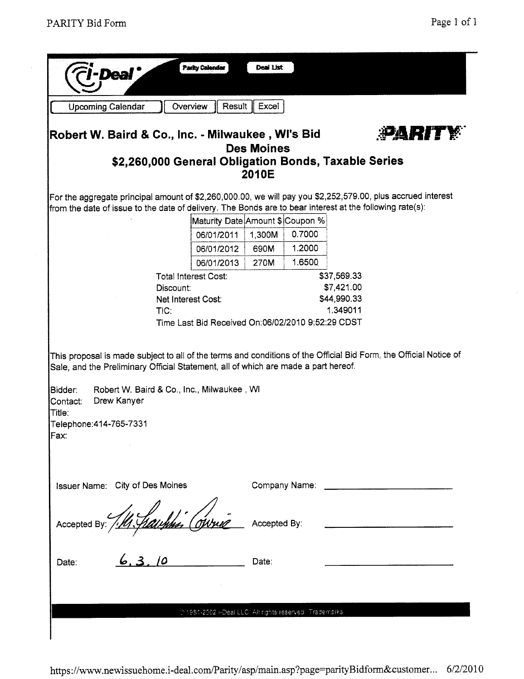| <b>Upcoming Calendar</b>                                                                                                                                                                                                                                                           | Overview                                             |                                                   | Result   Excel    |               |                           |               |
|------------------------------------------------------------------------------------------------------------------------------------------------------------------------------------------------------------------------------------------------------------------------------------|------------------------------------------------------|---------------------------------------------------|-------------------|---------------|---------------------------|---------------|
| Robert W. Baird & Co., Inc. - Milwaukee , WI's Bid                                                                                                                                                                                                                                 |                                                      |                                                   |                   |               |                           | <b>PARITY</b> |
|                                                                                                                                                                                                                                                                                    | \$2,260,000 General Obligation Bonds, Taxable Series |                                                   | <b>Des Moines</b> |               |                           |               |
|                                                                                                                                                                                                                                                                                    |                                                      |                                                   | 2010E             |               |                           |               |
| For the aggregate principal amount of \$2,260,000.00, we will pay you \$2,252,579.00, plus accrued interest                                                                                                                                                                        |                                                      |                                                   |                   |               |                           |               |
| from the date of issue to the date of delivery. The Bonds are to bear interest at the following rate(s):                                                                                                                                                                           |                                                      |                                                   |                   |               |                           |               |
|                                                                                                                                                                                                                                                                                    |                                                      | Maturity Date Amount \$ Coupon %                  |                   |               |                           |               |
|                                                                                                                                                                                                                                                                                    |                                                      | 06/01/2011                                        | 1,300M            | 0.7000        |                           |               |
|                                                                                                                                                                                                                                                                                    |                                                      | 06/01/2012                                        | 690M              | 1.2000        |                           |               |
|                                                                                                                                                                                                                                                                                    |                                                      | 06/01/2013                                        | 270M              | 1.6500        |                           |               |
|                                                                                                                                                                                                                                                                                    | <b>Total Interest Cost:</b>                          |                                                   |                   |               | \$37,569.33               |               |
|                                                                                                                                                                                                                                                                                    | Discount:<br>Net Interest Cost:                      |                                                   |                   |               | \$7,421.00<br>\$44,990.33 |               |
|                                                                                                                                                                                                                                                                                    | TIC:                                                 |                                                   |                   |               | 1.349011                  |               |
|                                                                                                                                                                                                                                                                                    |                                                      |                                                   |                   |               |                           |               |
|                                                                                                                                                                                                                                                                                    |                                                      | Time Last Bid Received On:06/02/2010 9:52:29 CDST |                   |               |                           |               |
| This proposal is made subject to all of the terms and conditions of the Official Bid Form, the Official Notice of<br>Sale, and the Preliminary Official Statement, all of which are made a part hereof.<br>Bidder:<br>Drew Kanyer<br>Contact:<br>Title:<br>Telephone: 414-765-7331 | Robert W. Baird & Co., Inc., Milwaukee, WI           |                                                   |                   |               |                           |               |
| Fax:                                                                                                                                                                                                                                                                               |                                                      |                                                   |                   |               |                           |               |
|                                                                                                                                                                                                                                                                                    |                                                      |                                                   |                   |               |                           |               |
| Issuer Name: City of Des Moines                                                                                                                                                                                                                                                    |                                                      |                                                   |                   | Company Name: |                           |               |
| Accepted By:                                                                                                                                                                                                                                                                       |                                                      |                                                   | Accepted By:      |               |                           |               |
| Date:                                                                                                                                                                                                                                                                              |                                                      |                                                   | Date:             |               |                           |               |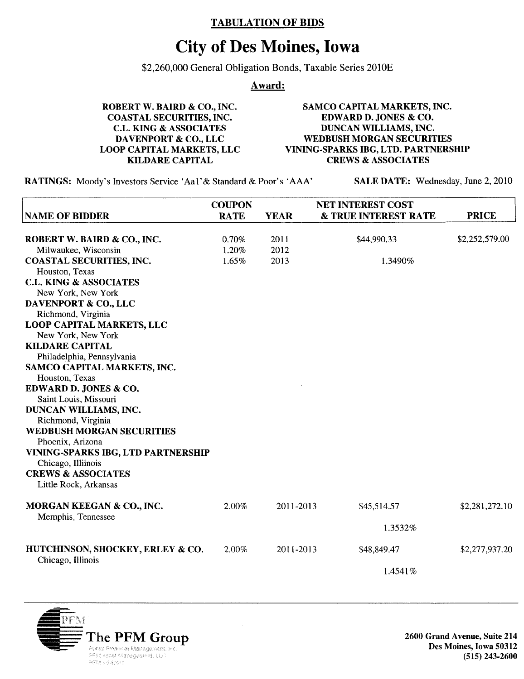## TABULATION OF BIDS

## City of Des Moines, Iowa

\$2,260,000 General Obligation Bonds, Taxable Series 2010E

Award:

ROBERT W. BAIRD & CO., INC. COASTAL SECURITIES, INC. C.L. KING & ASSOCIATES DAVENPORT & CO., LLC LOOP CAPITAL MARKETS, LLC KILDARE CAPITAL SAMCO CAPITAL MARKETS, INC. EDWARD D. JONES & CO. DUNCAN WILLIAMS, INC. WEDBUSH MORGAN SECURITIES VINING-SPARKS IBG, LTD. PARTNERSHIP CREWS & ASSOCIATES

RATINGS: Moody's Investors Service 'Aa1' & Standard & Poor's 'AAA' SALE DATE: Wednesday, June 2, 2010

|                                                        | <b>COUPON</b> |             | <b>NET INTEREST COST</b>        |                |
|--------------------------------------------------------|---------------|-------------|---------------------------------|----------------|
| <b>NAME OF BIDDER</b>                                  | <b>RATE</b>   | <b>YEAR</b> | <b>&amp; TRUE INTEREST RATE</b> | <b>PRICE</b>   |
|                                                        |               |             | \$44,990.33                     |                |
| ROBERT W. BAIRD & CO., INC.                            | 0.70%         | 2011        |                                 | \$2,252,579.00 |
| Milwaukee, Wisconsin                                   | 1.20%         | 2012        |                                 |                |
| <b>COASTAL SECURITIES, INC.</b>                        | 1.65%         | 2013        | 1.3490%                         |                |
| Houston, Texas                                         |               |             |                                 |                |
| <b>C.L. KING &amp; ASSOCIATES</b>                      |               |             |                                 |                |
| New York, New York                                     |               |             |                                 |                |
| DAVENPORT & CO., LLC                                   |               |             |                                 |                |
| Richmond, Virginia                                     |               |             |                                 |                |
| <b>LOOP CAPITAL MARKETS, LLC</b><br>New York, New York |               |             |                                 |                |
| <b>KILDARE CAPITAL</b>                                 |               |             |                                 |                |
| Philadelphia, Pennsylvania                             |               |             |                                 |                |
| SAMCO CAPITAL MARKETS, INC.                            |               |             |                                 |                |
| Houston, Texas                                         |               |             |                                 |                |
| EDWARD D. JONES & CO.                                  |               |             |                                 |                |
| Saint Louis, Missouri                                  |               |             |                                 |                |
| DUNCAN WILLIAMS, INC.                                  |               |             |                                 |                |
| Richmond, Virginia                                     |               |             |                                 |                |
| <b>WEDBUSH MORGAN SECURITIES</b>                       |               |             |                                 |                |
| Phoenix, Arizona                                       |               |             |                                 |                |
| VINING-SPARKS IBG, LTD PARTNERSHIP                     |               |             |                                 |                |
| Chicago, Illiinois                                     |               |             |                                 |                |
| <b>CREWS &amp; ASSOCIATES</b>                          |               |             |                                 |                |
| Little Rock, Arkansas                                  |               |             |                                 |                |
|                                                        |               |             |                                 |                |
| MORGAN KEEGAN & CO., INC.                              | 2.00%         | 2011-2013   | \$45,514.57                     | \$2,281,272.10 |
| Memphis, Tennessee                                     |               |             |                                 |                |
|                                                        |               | 1.3532%     |                                 |                |
| HUTCHINSON, SHOCKEY, ERLEY & CO.                       | 2.00%         | 2011-2013   | \$48,849.47                     | \$2,277,937.20 |
| Chicago, Illinois                                      |               |             |                                 |                |
|                                                        |               |             | 1.4541%                         |                |



Des Moines, Iowa 50312 (515) 243-2600